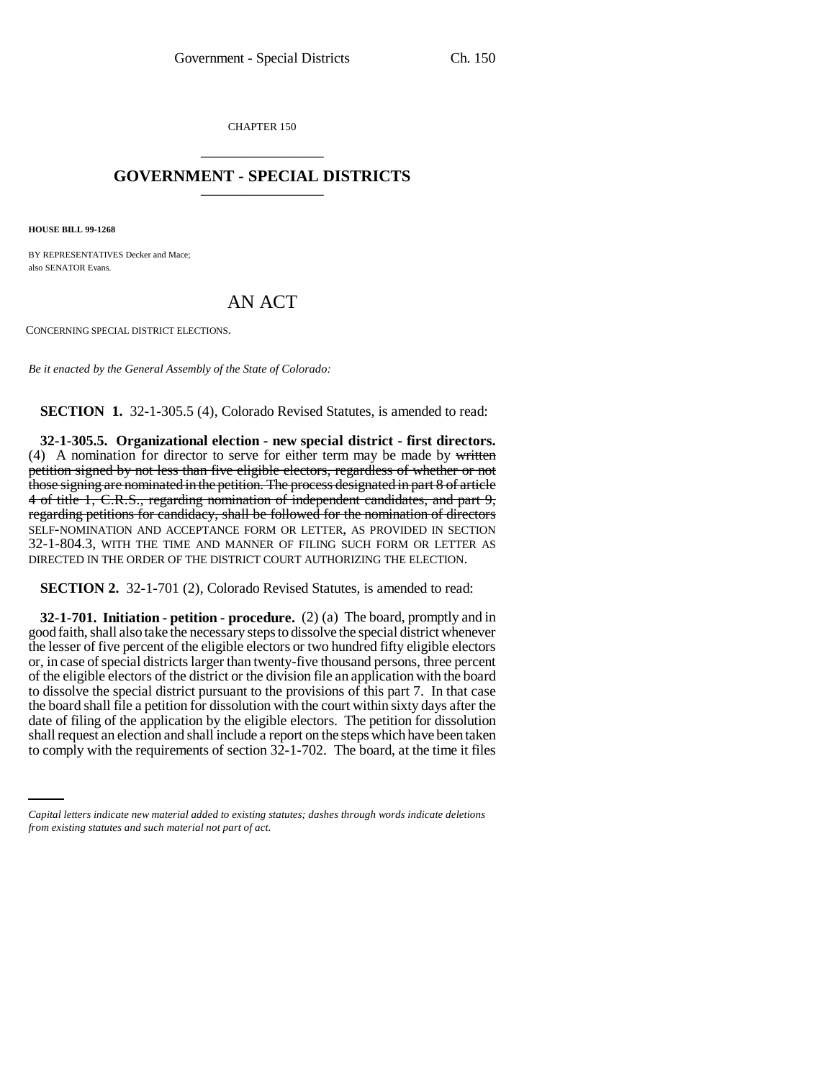CHAPTER 150 \_\_\_\_\_\_\_\_\_\_\_\_\_\_\_

## **GOVERNMENT - SPECIAL DISTRICTS** \_\_\_\_\_\_\_\_\_\_\_\_\_\_\_

**HOUSE BILL 99-1268** 

BY REPRESENTATIVES Decker and Mace; also SENATOR Evans.

## AN ACT

CONCERNING SPECIAL DISTRICT ELECTIONS.

*Be it enacted by the General Assembly of the State of Colorado:*

**SECTION 1.** 32-1-305.5 (4), Colorado Revised Statutes, is amended to read:

**32-1-305.5. Organizational election - new special district - first directors.** (4) A nomination for director to serve for either term may be made by written petition signed by not less than five eligible electors, regardless of whether or not those signing are nominated in the petition. The process designated in part 8 of article 4 of title 1, C.R.S., regarding nomination of independent candidates, and part 9, regarding petitions for candidacy, shall be followed for the nomination of directors SELF-NOMINATION AND ACCEPTANCE FORM OR LETTER, AS PROVIDED IN SECTION 32-1-804.3, WITH THE TIME AND MANNER OF FILING SUCH FORM OR LETTER AS DIRECTED IN THE ORDER OF THE DISTRICT COURT AUTHORIZING THE ELECTION.

**SECTION 2.** 32-1-701 (2), Colorado Revised Statutes, is amended to read:

and or fining or the application by the engible electors. The petition for dissolution<br>shall request an election and shall include a report on the steps which have been taken **32-1-701. Initiation - petition - procedure.** (2) (a) The board, promptly and in good faith, shall also take the necessary steps to dissolve the special district whenever the lesser of five percent of the eligible electors or two hundred fifty eligible electors or, in case of special districts larger than twenty-five thousand persons, three percent of the eligible electors of the district or the division file an application with the board to dissolve the special district pursuant to the provisions of this part 7. In that case the board shall file a petition for dissolution with the court within sixty days after the date of filing of the application by the eligible electors. The petition for dissolution to comply with the requirements of section 32-1-702. The board, at the time it files

*Capital letters indicate new material added to existing statutes; dashes through words indicate deletions from existing statutes and such material not part of act.*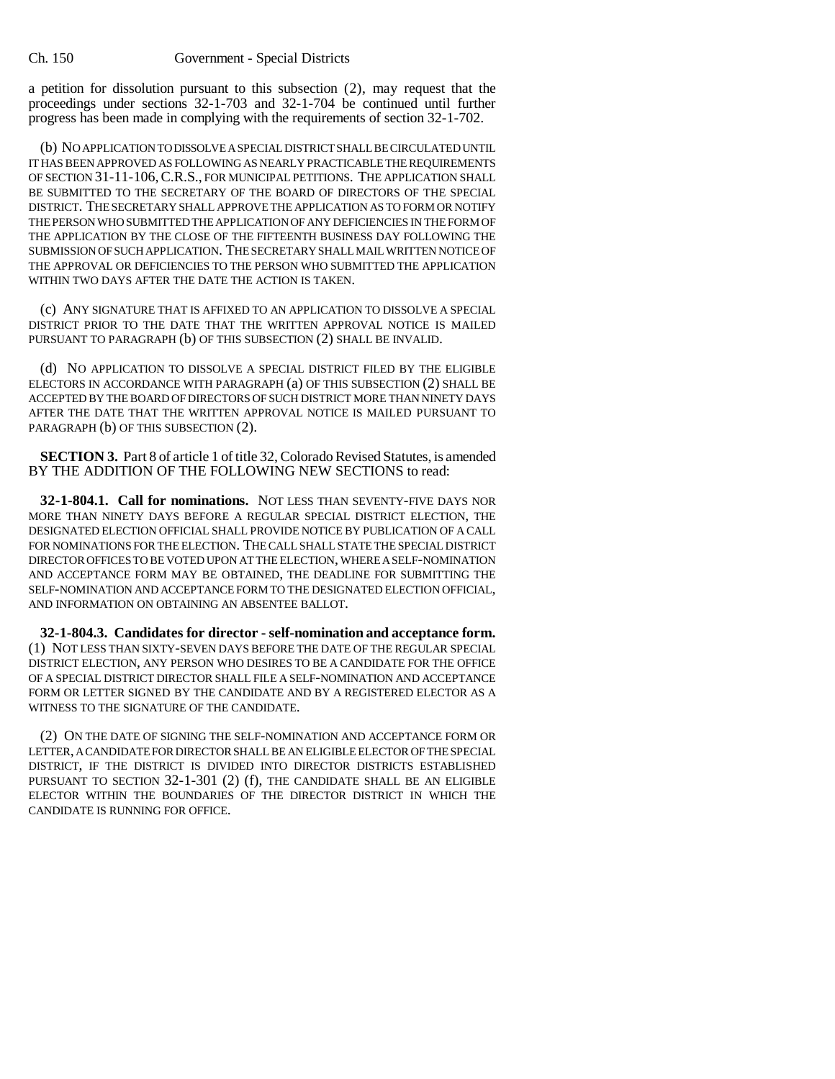a petition for dissolution pursuant to this subsection (2), may request that the proceedings under sections 32-1-703 and 32-1-704 be continued until further progress has been made in complying with the requirements of section 32-1-702.

(b) NO APPLICATION TO DISSOLVE A SPECIAL DISTRICT SHALL BE CIRCULATED UNTIL IT HAS BEEN APPROVED AS FOLLOWING AS NEARLY PRACTICABLE THE REQUIREMENTS OF SECTION 31-11-106,C.R.S., FOR MUNICIPAL PETITIONS. THE APPLICATION SHALL BE SUBMITTED TO THE SECRETARY OF THE BOARD OF DIRECTORS OF THE SPECIAL DISTRICT. THE SECRETARY SHALL APPROVE THE APPLICATION AS TO FORM OR NOTIFY THE PERSON WHO SUBMITTED THE APPLICATION OF ANY DEFICIENCIES IN THE FORM OF THE APPLICATION BY THE CLOSE OF THE FIFTEENTH BUSINESS DAY FOLLOWING THE SUBMISSION OF SUCH APPLICATION. THE SECRETARY SHALL MAIL WRITTEN NOTICE OF THE APPROVAL OR DEFICIENCIES TO THE PERSON WHO SUBMITTED THE APPLICATION WITHIN TWO DAYS AFTER THE DATE THE ACTION IS TAKEN.

(c) ANY SIGNATURE THAT IS AFFIXED TO AN APPLICATION TO DISSOLVE A SPECIAL DISTRICT PRIOR TO THE DATE THAT THE WRITTEN APPROVAL NOTICE IS MAILED PURSUANT TO PARAGRAPH (b) OF THIS SUBSECTION (2) SHALL BE INVALID.

(d) NO APPLICATION TO DISSOLVE A SPECIAL DISTRICT FILED BY THE ELIGIBLE ELECTORS IN ACCORDANCE WITH PARAGRAPH (a) OF THIS SUBSECTION (2) SHALL BE ACCEPTED BY THE BOARD OF DIRECTORS OF SUCH DISTRICT MORE THAN NINETY DAYS AFTER THE DATE THAT THE WRITTEN APPROVAL NOTICE IS MAILED PURSUANT TO PARAGRAPH (b) OF THIS SUBSECTION (2).

**SECTION 3.** Part 8 of article 1 of title 32, Colorado Revised Statutes, is amended BY THE ADDITION OF THE FOLLOWING NEW SECTIONS to read:

**32-1-804.1. Call for nominations.** NOT LESS THAN SEVENTY-FIVE DAYS NOR MORE THAN NINETY DAYS BEFORE A REGULAR SPECIAL DISTRICT ELECTION, THE DESIGNATED ELECTION OFFICIAL SHALL PROVIDE NOTICE BY PUBLICATION OF A CALL FOR NOMINATIONS FOR THE ELECTION. THE CALL SHALL STATE THE SPECIAL DISTRICT DIRECTOR OFFICES TO BE VOTED UPON AT THE ELECTION, WHERE A SELF-NOMINATION AND ACCEPTANCE FORM MAY BE OBTAINED, THE DEADLINE FOR SUBMITTING THE SELF-NOMINATION AND ACCEPTANCE FORM TO THE DESIGNATED ELECTION OFFICIAL, AND INFORMATION ON OBTAINING AN ABSENTEE BALLOT.

**32-1-804.3. Candidates for director - self-nomination and acceptance form.** (1) NOT LESS THAN SIXTY-SEVEN DAYS BEFORE THE DATE OF THE REGULAR SPECIAL DISTRICT ELECTION, ANY PERSON WHO DESIRES TO BE A CANDIDATE FOR THE OFFICE OF A SPECIAL DISTRICT DIRECTOR SHALL FILE A SELF-NOMINATION AND ACCEPTANCE FORM OR LETTER SIGNED BY THE CANDIDATE AND BY A REGISTERED ELECTOR AS A WITNESS TO THE SIGNATURE OF THE CANDIDATE.

(2) ON THE DATE OF SIGNING THE SELF-NOMINATION AND ACCEPTANCE FORM OR LETTER, A CANDIDATE FOR DIRECTOR SHALL BE AN ELIGIBLE ELECTOR OF THE SPECIAL DISTRICT, IF THE DISTRICT IS DIVIDED INTO DIRECTOR DISTRICTS ESTABLISHED PURSUANT TO SECTION 32-1-301 (2) (f), THE CANDIDATE SHALL BE AN ELIGIBLE ELECTOR WITHIN THE BOUNDARIES OF THE DIRECTOR DISTRICT IN WHICH THE CANDIDATE IS RUNNING FOR OFFICE.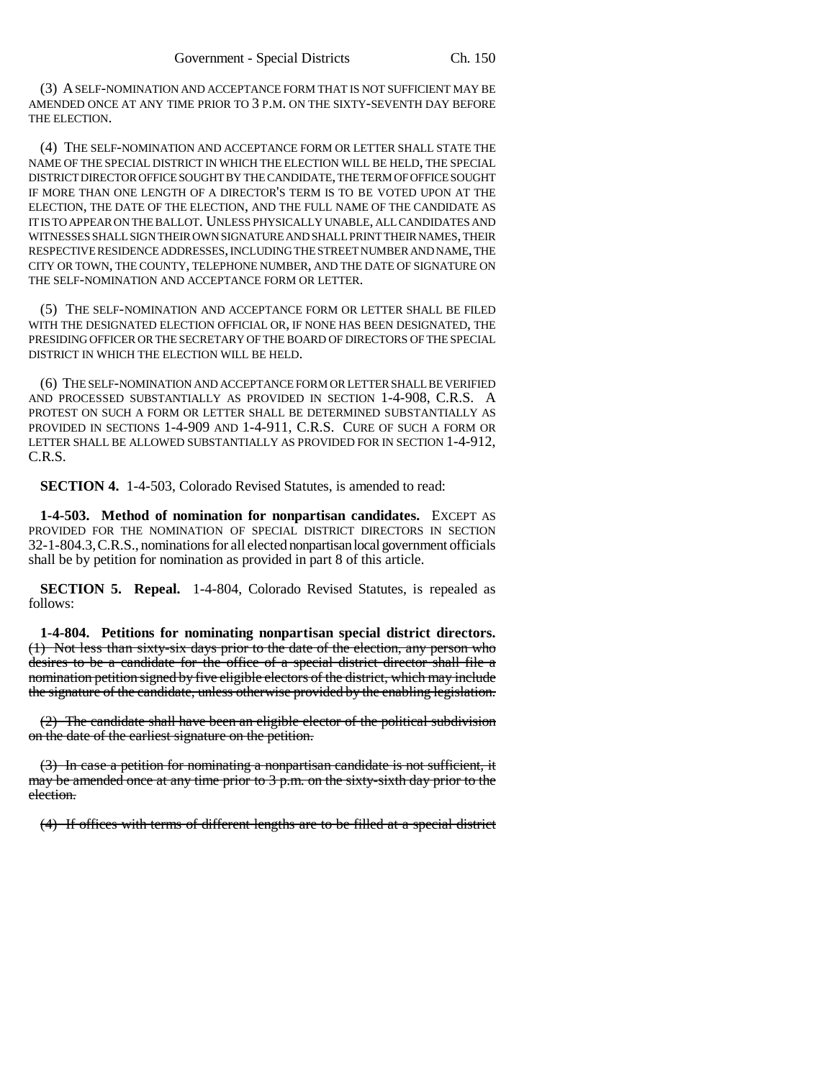(3) A SELF-NOMINATION AND ACCEPTANCE FORM THAT IS NOT SUFFICIENT MAY BE AMENDED ONCE AT ANY TIME PRIOR TO 3 P.M. ON THE SIXTY-SEVENTH DAY BEFORE THE ELECTION.

(4) THE SELF-NOMINATION AND ACCEPTANCE FORM OR LETTER SHALL STATE THE NAME OF THE SPECIAL DISTRICT IN WHICH THE ELECTION WILL BE HELD, THE SPECIAL DISTRICT DIRECTOR OFFICE SOUGHT BY THE CANDIDATE, THE TERM OF OFFICE SOUGHT IF MORE THAN ONE LENGTH OF A DIRECTOR'S TERM IS TO BE VOTED UPON AT THE ELECTION, THE DATE OF THE ELECTION, AND THE FULL NAME OF THE CANDIDATE AS IT IS TO APPEAR ON THE BALLOT. UNLESS PHYSICALLY UNABLE, ALL CANDIDATES AND WITNESSES SHALL SIGN THEIR OWN SIGNATURE AND SHALL PRINT THEIR NAMES, THEIR RESPECTIVE RESIDENCE ADDRESSES, INCLUDING THE STREET NUMBER AND NAME, THE CITY OR TOWN, THE COUNTY, TELEPHONE NUMBER, AND THE DATE OF SIGNATURE ON THE SELF-NOMINATION AND ACCEPTANCE FORM OR LETTER.

(5) THE SELF-NOMINATION AND ACCEPTANCE FORM OR LETTER SHALL BE FILED WITH THE DESIGNATED ELECTION OFFICIAL OR, IF NONE HAS BEEN DESIGNATED, THE PRESIDING OFFICER OR THE SECRETARY OF THE BOARD OF DIRECTORS OF THE SPECIAL DISTRICT IN WHICH THE ELECTION WILL BE HELD.

(6) THE SELF-NOMINATION AND ACCEPTANCE FORM OR LETTER SHALL BE VERIFIED AND PROCESSED SUBSTANTIALLY AS PROVIDED IN SECTION 1-4-908, C.R.S. A PROTEST ON SUCH A FORM OR LETTER SHALL BE DETERMINED SUBSTANTIALLY AS PROVIDED IN SECTIONS 1-4-909 AND 1-4-911, C.R.S. CURE OF SUCH A FORM OR LETTER SHALL BE ALLOWED SUBSTANTIALLY AS PROVIDED FOR IN SECTION 1-4-912, C.R.S.

**SECTION 4.** 1-4-503, Colorado Revised Statutes, is amended to read:

**1-4-503. Method of nomination for nonpartisan candidates.** EXCEPT AS PROVIDED FOR THE NOMINATION OF SPECIAL DISTRICT DIRECTORS IN SECTION 32-1-804.3,C.R.S., nominations for all elected nonpartisan local government officials shall be by petition for nomination as provided in part 8 of this article.

**SECTION 5. Repeal.** 1-4-804, Colorado Revised Statutes, is repealed as follows:

**1-4-804. Petitions for nominating nonpartisan special district directors.** (1) Not less than sixty-six days prior to the date of the election, any person who desires to be a candidate for the office of a special district director shall file a nomination petition signed by five eligible electors of the district, which may include the signature of the candidate, unless otherwise provided by the enabling legislation.

(2) The candidate shall have been an eligible elector of the political subdivision on the date of the earliest signature on the petition.

(3) In case a petition for nominating a nonpartisan candidate is not sufficient, it may be amended once at any time prior to 3 p.m. on the sixty-sixth day prior to the election.

(4) If offices with terms of different lengths are to be filled at a special district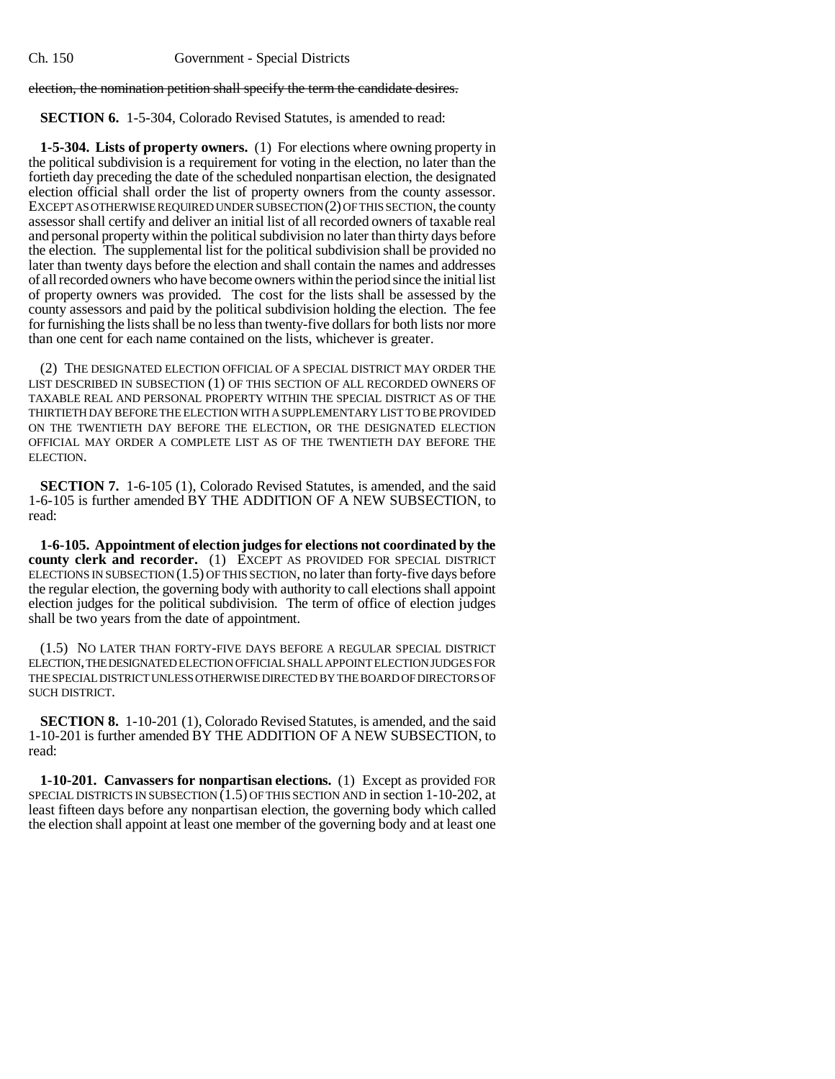election, the nomination petition shall specify the term the candidate desires.

**SECTION 6.** 1-5-304, Colorado Revised Statutes, is amended to read:

**1-5-304. Lists of property owners.** (1) For elections where owning property in the political subdivision is a requirement for voting in the election, no later than the fortieth day preceding the date of the scheduled nonpartisan election, the designated election official shall order the list of property owners from the county assessor. EXCEPT AS OTHERWISE REQUIRED UNDER SUBSECTION (2) OF THIS SECTION, the county assessor shall certify and deliver an initial list of all recorded owners of taxable real and personal property within the political subdivision no later than thirty days before the election. The supplemental list for the political subdivision shall be provided no later than twenty days before the election and shall contain the names and addresses of all recorded owners who have become owners within the period since the initial list of property owners was provided. The cost for the lists shall be assessed by the county assessors and paid by the political subdivision holding the election. The fee for furnishing the lists shall be no less than twenty-five dollars for both lists nor more than one cent for each name contained on the lists, whichever is greater.

(2) THE DESIGNATED ELECTION OFFICIAL OF A SPECIAL DISTRICT MAY ORDER THE LIST DESCRIBED IN SUBSECTION (1) OF THIS SECTION OF ALL RECORDED OWNERS OF TAXABLE REAL AND PERSONAL PROPERTY WITHIN THE SPECIAL DISTRICT AS OF THE THIRTIETH DAY BEFORE THE ELECTION WITH A SUPPLEMENTARY LIST TO BE PROVIDED ON THE TWENTIETH DAY BEFORE THE ELECTION, OR THE DESIGNATED ELECTION OFFICIAL MAY ORDER A COMPLETE LIST AS OF THE TWENTIETH DAY BEFORE THE ELECTION.

**SECTION 7.** 1-6-105 (1), Colorado Revised Statutes, is amended, and the said 1-6-105 is further amended BY THE ADDITION OF A NEW SUBSECTION, to read:

**1-6-105. Appointment of election judges for elections not coordinated by the county clerk and recorder.** (1) EXCEPT AS PROVIDED FOR SPECIAL DISTRICT ELECTIONS IN SUBSECTION (1.5) OF THIS SECTION, no later than forty-five days before the regular election, the governing body with authority to call elections shall appoint election judges for the political subdivision. The term of office of election judges shall be two years from the date of appointment.

(1.5) NO LATER THAN FORTY-FIVE DAYS BEFORE A REGULAR SPECIAL DISTRICT ELECTION, THE DESIGNATED ELECTION OFFICIAL SHALL APPOINT ELECTION JUDGES FOR THE SPECIAL DISTRICT UNLESS OTHERWISE DIRECTED BY THE BOARD OF DIRECTORS OF SUCH DISTRICT.

**SECTION 8.** 1-10-201 (1), Colorado Revised Statutes, is amended, and the said 1-10-201 is further amended BY THE ADDITION OF A NEW SUBSECTION, to read:

**1-10-201. Canvassers for nonpartisan elections.** (1) Except as provided FOR SPECIAL DISTRICTS IN SUBSECTION  $(1.5)$  OF THIS SECTION AND in section 1-10-202, at least fifteen days before any nonpartisan election, the governing body which called the election shall appoint at least one member of the governing body and at least one